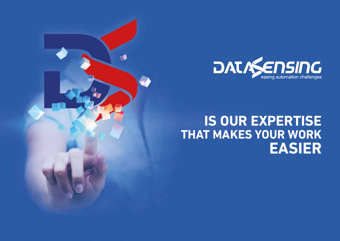

# **IS OUR EXPERTISE THAT MAKES YOUR WORK EASIER**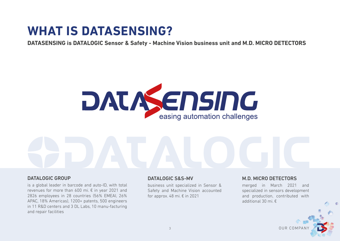# **WHAT IS DATASENSING?**

**DATASENSING is DATALOGIC Sensor & Safety - Machine Vision business unit and M.D. MICRO DETECTORS**



#### DATALOGIC GROUP

is a global leader in barcode and auto-ID, with total revenues for more than 600 mi. € in year 2021 and 2826 employees in 28 countries (56% EMEAI, 26% APAC, 18% Americas), 1200+ patents, 500 engineers in 11 R&D centers and 3 DL Labs, 10 manu-facturing and repair facilities

#### DATALOGIC S&S-MV

business unit specialized in Sensor & Safety and Machine Vision accounted for approx. 48 mi.  $\epsilon$  in 2021

## M.D. MICRO DETECTORS

merged in March 2021 and specialized in sensors development and production, contributed with additional 30 mi. €

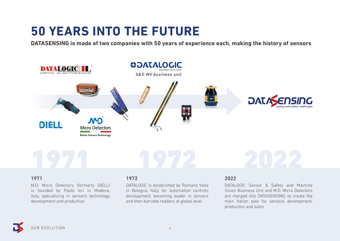# **50 YEARS INTO THE FUTURE**

**DATASENSING is made of two companies with 50 years of experience each, making the history of sensors**



#### 1971

M.D. Micro Detectors (formerly DIELL) is founded by Paolo Iori in Modena, Italy, specializing in sensors technology development and production

#### 1972

DATALOGIC is established by Romano Volta in Bologna, Italy, for automation controls development, becoming leader in sensors and then barcode readers at global level

### 2022

DATALOGIC Sensor & Safety and Machine Vision Business Unit and M.D. Micro Detectors are merged into DATASENSING, to create the main Italian pole for sensors development, production and sales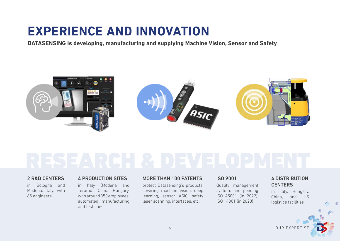# **EXPERIENCE AND INNOVATION**

**DATASENSING is developing, manufacturing and supplying Machine Vision, Sensor and Safety**



### 2 R&D CENTERS

in Bologna and Modena, Italy, with 65 engineers

#### 4 PRODUCTION SITES

in Italy (Modena and Teramo), China, Hungary, with around 350 employees, automated manufacturing and test lines

#### MORE THAN 100 PATENTS

protect Datasensing's products, covering machine vision, deep learning, sensor ASIC, safety laser scanning, interfaces, etc.

## ISO 9001

Quality management system, and pending ISO 45001 (in 2022), ISO 14001 (in 2023)

## 4 DISTRIBUTION **CENTERS**

in Italy, Hungary, China, and US logistics facilities

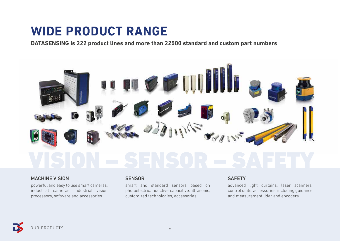# **WIDE PRODUCT RANGE**

**DATASENSING is 222 product lines and more than 22500 standard and custom part numbers**



#### MACHINE VISION

powerful and easy to use smart cameras, industrial cameras, industrial vision processors, software and accessories

#### **SENSOR**

smart and standard sensors based on photoelectric, inductive, capacitive, ultrasonic, customized technologies, accessories

#### **SAFETY**

advanced light curtains, laser scanners, control units, accessories, including guidance and measurement lidar and encoders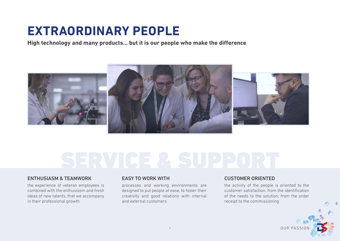# **EXTRAORDINARY PEOPLE**

**High technology and many products… but it is our people who make the difference**



### ENTHUSIASM & TEAMWORK

the experience of veteran employees is combined with the enthusiasm and fresh ideas of new talents, that we accompany in their professional growth

#### EASY TO WORK WITH

processes and working environments are designed to put people at ease, to foster their creativity and good relations with internal and external customers

### CUSTOMER ORIENTED

the activity of the people is oriented to the customer satisfaction, from the identification of the needs to the solution, from the order receipt to the commissioning

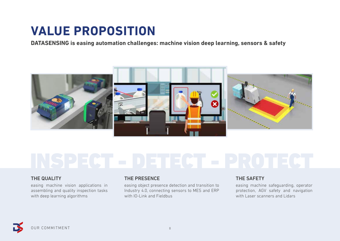# **VALUE PROPOSITION**

**DATASENSING is easing automation challenges: machine vision deep learning, sensors & safety**



### THE QUALITY

easing machine vision applications in assembling and quality inspection tasks with deep learning algorithms

### THE PRESENCE

easing object presence detection and transition to Industry 4.0, connecting sensors to MES and ERP with IO-Link and Fieldbus

# THE SAFETY

easing machine safeguarding, operator protection, AGV safety and navigation with Laser scanners and Lidars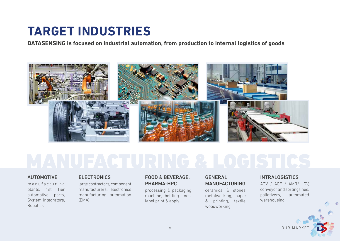# **TARGET INDUSTRIES**

**DATASENSING is focused on industrial automation, from production to internal logistics of goods**



#### AUTOMOTIVE

m a n u f a c t u r i n g plants, 1st Tier automotive parts, System integrators, Robotics

#### **ELECTRONICS**

large contractors, component manufacturers, electronics manufacturing automation (EMA)

#### FOOD & BEVERAGE, PHARMA-HPC

processing & packaging machine, bottling lines, label print & apply

## GENERAL MANUFACTURING

ceramics & stones, metalworking, paper & printing, textile, woodworking, …

## **INTRALOGISTICS**

AGV / AGF / AMR/ LGV, conveyor and sorting lines, palletizers, automated warehousing, …

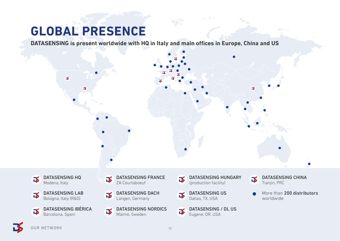# **GLOBAL PRESENCE**

**DATASENSING is present worldwide with HQ in Italy and main offices in Europe, China and US**

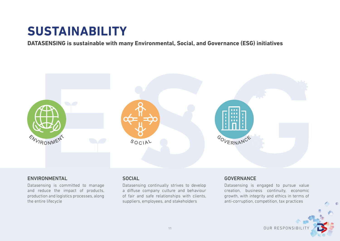# **SUSTAINABILITY**

**DATASENSING is sustainable with many Environmental, Social, and Governance (ESG) initiatives**



### ENVIRONMENTAL

Datasensing is committed to manage and reduce the impact of products, production and logistics processes, along the entire lifecycle

### **SOCIAL**

Datasensing continually strives to develop a diffuse company culture and behaviour of fair and safe relationships with clients, suppliers, employees, and stakeholders

### GOVERNANCE

Datasensing is engaged to pursue value creation, business continuity, economic growth, with integrity and ethics in terms of anti-corruption, competition, tax practices

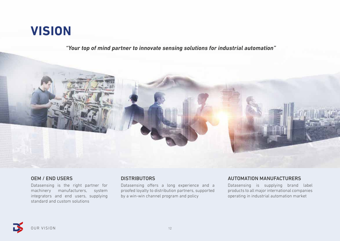# **VISION**

*"Your top of mind partner to innovate sensing solutions for industrial automation"*



## OEM / END USERS

Datasensing is the right partner for machinery manufacturers, system integrators and end users, supplying standard and custom solutions

### **DISTRIBUTORS**

Datasensing offers a long experience and a proofed loyalty to distribution partners, supported by a win-win channel program and policy

# AUTOMATION MANUFACTURERS

Datasensing is supplying brand label products to all major international companies operating in industrial automation market

OUR VISION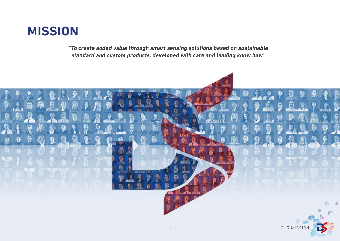

*"To create added value through smart sensing solutions based on sustainable standard and custom products, developed with care and leading know how"*

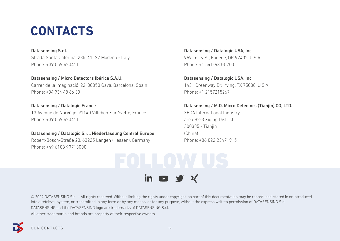# **CONTACTS**

Datasensing S.r.l. Strada Santa Caterina, 235, 41122 Modena - Italy Phone: +39 059 420411

Datasensing / Micro Detectors Ibérica S.A.U. Carrer de la Imaginació, 22, 08850 Gavà, Barcelona, Spain Phone: +34 934 48 66 30

# Datasensing / Datalogic France

13 Avenue de Norvège, 91140 Villebon-sur-Yvette, France Phone: +39 059 420411

#### Datasensing / Datalogic S.r.l. Niederlassung Central Europe

Robert-Bosch-Straße 23, 63225 Langen (Hessen), Germany Phone: +49 6103 99713000

Datasensing / Datalogic USA, Inc 959 Terry St, Eugene, OR 97402, U.S.A. Phone: +1 541-683-5700

Datasensing / Datalogic USA, Inc 1431 Greenway Dr, Irving, TX 75038, U.S.A. Phone: +1 2157215267

#### Datasensing / M.D. Micro Detectors (Tianjin) CO, LTD.

XEDA International Industry area B2-3 Xiqing District 300385 - Tianjin (China) Phone: +86 022 23471915



in  $\bullet$  y  $\times$ 

© 2022 DATASENSING S.r.l. - All rights reserved. Without limiting the rights under copyright, no part of this documentation may be reproduced, stored in or introduced into a retrieval system, or transmitted in any form or by any means, or for any purpose, without the express written permission of DATASENSING S.r.l. DATASENSING and the DATASENSING logo are trademarks of DATASENSING S.r.l. All other trademarks and brands are property of their respective owners.